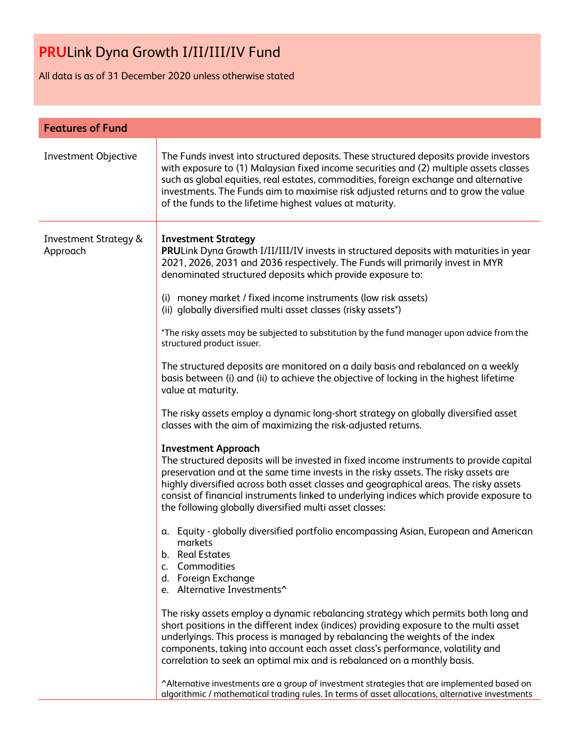All data is as of 31 December 2020 unless otherwise stated

| <b>Features of Fund</b>                      |                                                                                                                                                                                                                                                                                                                                                                                                                                                                                                                                                                                                                                                                                                                                                                                                                                                                                                                                                                                                                                                                                                                                                                                                                                                                                                                                                                                                                                                                                                                                                                                                                                                                                                                                                                                                                                                                                                                                                                                                                                                                                                                                                                                                   |  |  |
|----------------------------------------------|---------------------------------------------------------------------------------------------------------------------------------------------------------------------------------------------------------------------------------------------------------------------------------------------------------------------------------------------------------------------------------------------------------------------------------------------------------------------------------------------------------------------------------------------------------------------------------------------------------------------------------------------------------------------------------------------------------------------------------------------------------------------------------------------------------------------------------------------------------------------------------------------------------------------------------------------------------------------------------------------------------------------------------------------------------------------------------------------------------------------------------------------------------------------------------------------------------------------------------------------------------------------------------------------------------------------------------------------------------------------------------------------------------------------------------------------------------------------------------------------------------------------------------------------------------------------------------------------------------------------------------------------------------------------------------------------------------------------------------------------------------------------------------------------------------------------------------------------------------------------------------------------------------------------------------------------------------------------------------------------------------------------------------------------------------------------------------------------------------------------------------------------------------------------------------------------------|--|--|
| <b>Investment Objective</b>                  | The Funds invest into structured deposits. These structured deposits provide investors<br>with exposure to (1) Malaysian fixed income securities and (2) multiple assets classes<br>such as global equities, real estates, commodities, foreign exchange and alternative<br>investments. The Funds aim to maximise risk adjusted returns and to grow the value<br>of the funds to the lifetime highest values at maturity.                                                                                                                                                                                                                                                                                                                                                                                                                                                                                                                                                                                                                                                                                                                                                                                                                                                                                                                                                                                                                                                                                                                                                                                                                                                                                                                                                                                                                                                                                                                                                                                                                                                                                                                                                                        |  |  |
| <b>Investment Strategy &amp;</b><br>Approach | <b>Investment Strategy</b><br>PRULink Dyna Growth I/II/III/IV invests in structured deposits with maturities in year<br>2021, 2026, 2031 and 2036 respectively. The Funds will primarily invest in MYR<br>denominated structured deposits which provide exposure to:<br>(i) money market / fixed income instruments (low risk assets)<br>(ii) globally diversified multi asset classes (risky assets*)<br>*The risky assets may be subjected to substitution by the fund manager upon advice from the<br>structured product issuer.<br>The structured deposits are monitored on a daily basis and rebalanced on a weekly<br>basis between (i) and (ii) to achieve the objective of locking in the highest lifetime<br>value at maturity.<br>The risky assets employ a dynamic long-short strategy on globally diversified asset<br>classes with the aim of maximizing the risk-adjusted returns.<br><b>Investment Approach</b><br>The structured deposits will be invested in fixed income instruments to provide capital<br>preservation and at the same time invests in the risky assets. The risky assets are<br>highly diversified across both asset classes and geographical areas. The risky assets<br>consist of financial instruments linked to underlying indices which provide exposure to<br>the following globally diversified multi asset classes:<br>a. Equity - globally diversified portfolio encompassing Asian, European and American<br>markets<br>b. Real Estates<br>Commodities<br>C.<br>d. Foreign Exchange<br>e. Alternative Investments^<br>The risky assets employ a dynamic rebalancing strategy which permits both long and<br>short positions in the different index (indices) providing exposure to the multi asset<br>underlyings. This process is managed by rebalancing the weights of the index<br>components, taking into account each asset class's performance, volatility and<br>correlation to seek an optimal mix and is rebalanced on a monthly basis.<br>^Alternative investments are a group of investment strategies that are implemented based on<br>algorithmic / mathematical trading rules. In terms of asset allocations, alternative investments |  |  |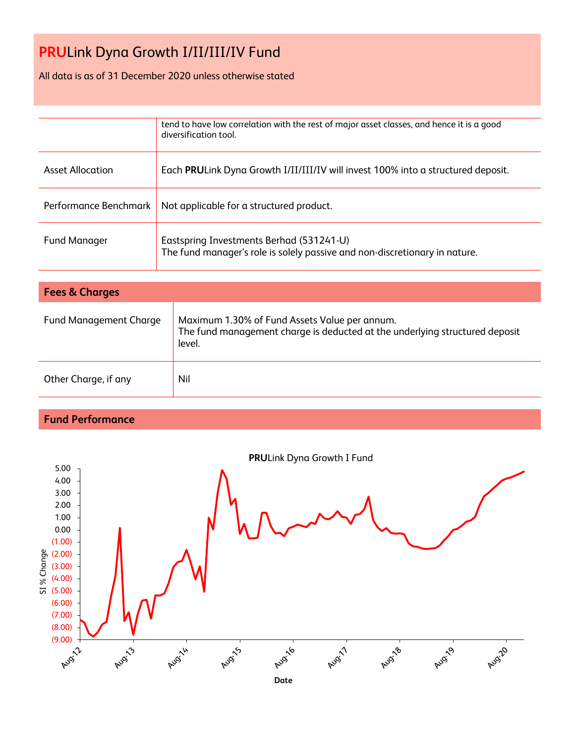## All data is as of 31 December 2020 unless otherwise stated

|                         | tend to have low correlation with the rest of major asset classes, and hence it is a good<br>diversification tool.     |
|-------------------------|------------------------------------------------------------------------------------------------------------------------|
| <b>Asset Allocation</b> | Each PRULink Dyna Growth I/II/III/IV will invest 100% into a structured deposit.                                       |
| Performance Benchmark   | Not applicable for a structured product.                                                                               |
| <b>Fund Manager</b>     | Eastspring Investments Berhad (531241-U)<br>The fund manager's role is solely passive and non-discretionary in nature. |

| <b>Fees &amp; Charges</b>     |                                                                                                                                        |  |  |
|-------------------------------|----------------------------------------------------------------------------------------------------------------------------------------|--|--|
| <b>Fund Management Charge</b> | Maximum 1.30% of Fund Assets Value per annum.<br>The fund management charge is deducted at the underlying structured deposit<br>level. |  |  |
| Other Charge, if any          | Nil                                                                                                                                    |  |  |

## **Fund Performance**

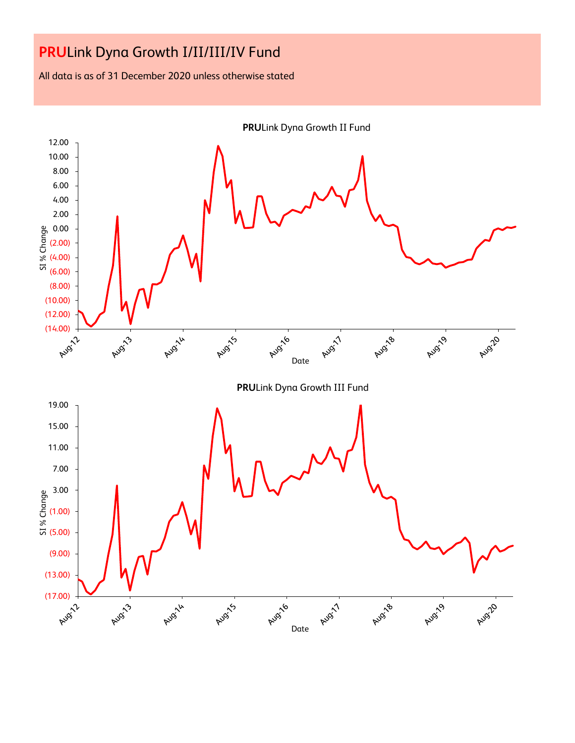All data is as of 31 December 2020 unless otherwise stated

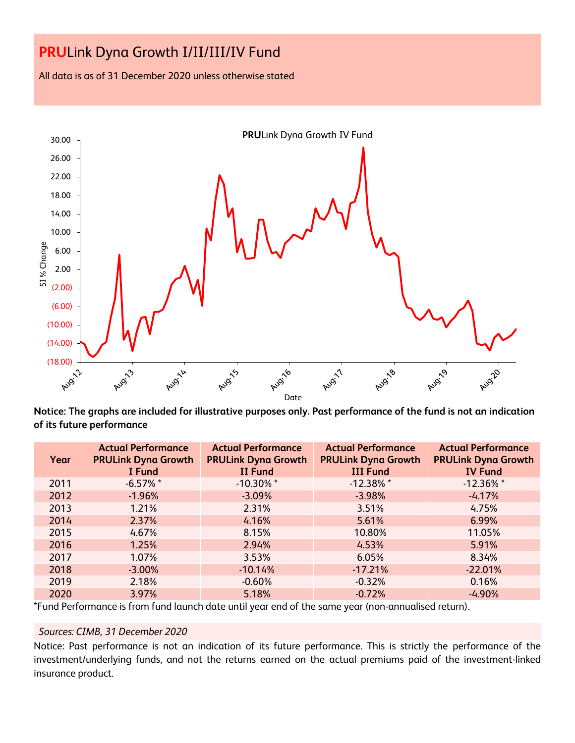All data is as of 31 December 2020 unless otherwise stated



**Notice: The graphs are included for illustrative purposes only. Past performance of the fund is not an indication of its future performance**

| Year | <b>Actual Performance</b><br><b>PRULink Dyna Growth</b><br>I Fund | <b>Actual Performance</b><br><b>PRULink Dyna Growth</b><br><b>II Fund</b> | <b>Actual Performance</b><br><b>PRULink Dyna Growth</b><br><b>III Fund</b> | <b>Actual Performance</b><br><b>PRULink Dyna Growth</b><br><b>IV Fund</b> |
|------|-------------------------------------------------------------------|---------------------------------------------------------------------------|----------------------------------------------------------------------------|---------------------------------------------------------------------------|
| 2011 | $-6.57%$ *                                                        | $-10.30\%$ *                                                              | $-12.38%$ *                                                                | $-12.36\%$ *                                                              |
| 2012 | $-1.96%$                                                          | $-3.09%$                                                                  | $-3.98%$                                                                   | $-4.17%$                                                                  |
| 2013 | 1.21%                                                             | 2.31%                                                                     | 3.51%                                                                      | 4.75%                                                                     |
| 2014 | 2.37%                                                             | 4.16%                                                                     | 5.61%                                                                      | 6.99%                                                                     |
| 2015 | 4.67%                                                             | 8.15%                                                                     | 10.80%                                                                     | 11.05%                                                                    |
| 2016 | 1.25%                                                             | 2.94%                                                                     | 4.53%                                                                      | 5.91%                                                                     |
| 2017 | 1.07%                                                             | 3.53%                                                                     | 6.05%                                                                      | 8.34%                                                                     |
| 2018 | $-3.00%$                                                          | $-10.14%$                                                                 | $-17.21%$                                                                  | $-22.01%$                                                                 |
| 2019 | 2.18%                                                             | $-0.60%$                                                                  | $-0.32%$                                                                   | 0.16%                                                                     |
| 2020 | 3.97%                                                             | 5.18%                                                                     | $-0.72%$                                                                   | $-4.90%$                                                                  |

\*Fund Performance is from fund launch date until year end of the same year (non-annualised return).

### *Sources: CIMB, 31 December 2020*

Notice: Past performance is not an indication of its future performance. This is strictly the performance of the investment/underlying funds, and not the returns earned on the actual premiums paid of the investment-linked insurance product.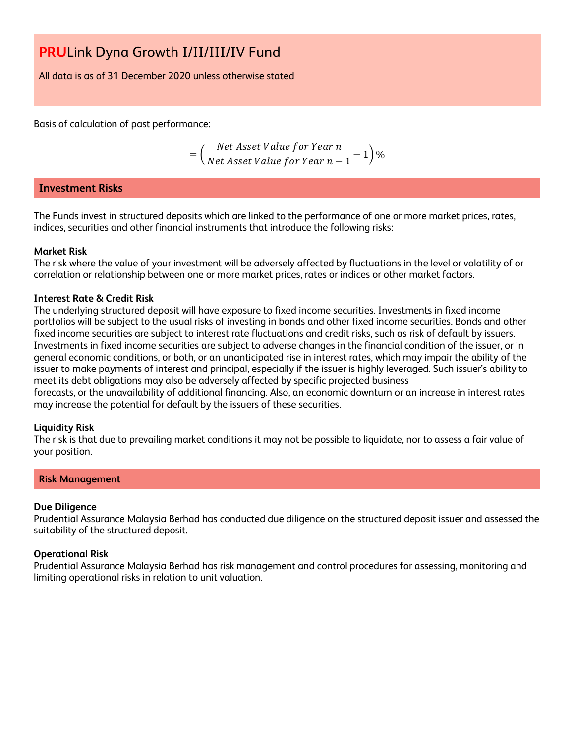All data is as of 31 December 2020 unless otherwise stated

Basis of calculation of past performance:

$$
= \left(\frac{Net\text{ Asset Value for Year }n}{Net\text{ Asset Value for Year }n-1}-1\right)\%
$$

## **Investment Risks**

The Funds invest in structured deposits which are linked to the performance of one or more market prices, rates, indices, securities and other financial instruments that introduce the following risks:

### **Market Risk**

The risk where the value of your investment will be adversely affected by fluctuations in the level or volatility of or correlation or relationship between one or more market prices, rates or indices or other market factors.

### **Interest Rate & Credit Risk**

The underlying structured deposit will have exposure to fixed income securities. Investments in fixed income portfolios will be subject to the usual risks of investing in bonds and other fixed income securities. Bonds and other fixed income securities are subject to interest rate fluctuations and credit risks, such as risk of default by issuers. Investments in fixed income securities are subject to adverse changes in the financial condition of the issuer, or in general economic conditions, or both, or an unanticipated rise in interest rates, which may impair the ability of the issuer to make payments of interest and principal, especially if the issuer is highly leveraged. Such issuer's ability to meet its debt obligations may also be adversely affected by specific projected business

forecasts, or the unavailability of additional financing. Also, an economic downturn or an increase in interest rates may increase the potential for default by the issuers of these securities.

### **Liquidity Risk**

The risk is that due to prevailing market conditions it may not be possible to liquidate, nor to assess a fair value of your position.

### **Risk Management**

### **Due Diligence**

Prudential Assurance Malaysia Berhad has conducted due diligence on the structured deposit issuer and assessed the suitability of the structured deposit.

### **Operational Risk**

Prudential Assurance Malaysia Berhad has risk management and control procedures for assessing, monitoring and limiting operational risks in relation to unit valuation.